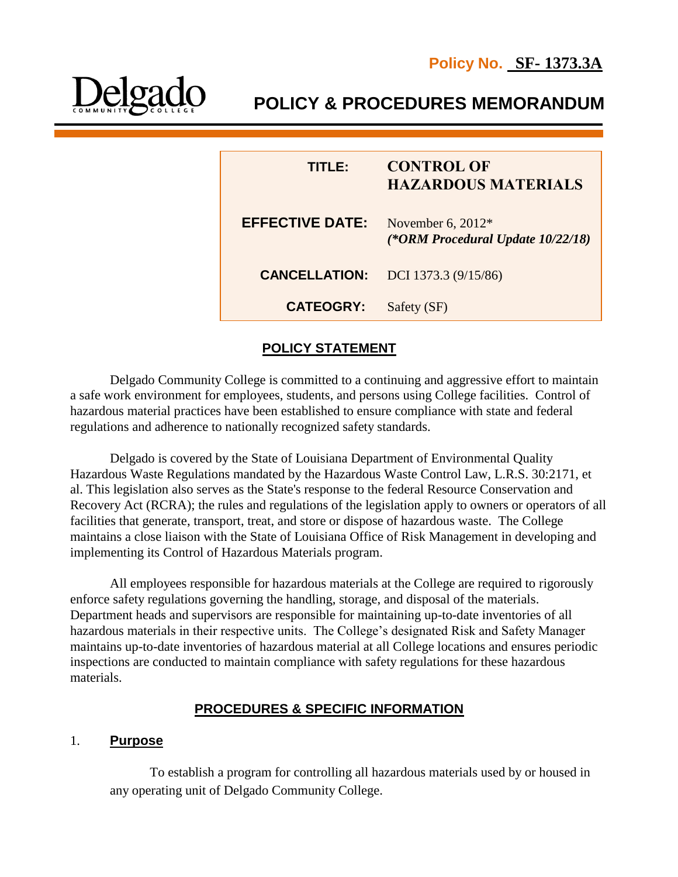

 **POLICY & PROCEDURES MEMORANDUM**

| TITLE:                 | <b>CONTROL OF</b><br><b>HAZARDOUS MATERIALS</b>          |
|------------------------|----------------------------------------------------------|
| <b>EFFECTIVE DATE:</b> | November 6, $2012*$<br>(*ORM Procedural Update 10/22/18) |
| <b>CANCELLATION:</b>   | DCI 1373.3 (9/15/86)                                     |
| <b>CATEOGRY:</b>       | Safety (SF)                                              |

# **POLICY STATEMENT**

Delgado Community College is committed to a continuing and aggressive effort to maintain a safe work environment for employees, students, and persons using College facilities. Control of hazardous material practices have been established to ensure compliance with state and federal regulations and adherence to nationally recognized safety standards.

Delgado is covered by the State of Louisiana Department of Environmental Quality Hazardous Waste Regulations mandated by the Hazardous Waste Control Law, L.R.S. 30:2171, et al. This legislation also serves as the State's response to the federal Resource Conservation and Recovery Act (RCRA); the rules and regulations of the legislation apply to owners or operators of all facilities that generate, transport, treat, and store or dispose of hazardous waste. The College maintains a close liaison with the State of Louisiana Office of Risk Management in developing and implementing its Control of Hazardous Materials program.

All employees responsible for hazardous materials at the College are required to rigorously enforce safety regulations governing the handling, storage, and disposal of the materials. Department heads and supervisors are responsible for maintaining up-to-date inventories of all hazardous materials in their respective units. The College's designated Risk and Safety Manager maintains up-to-date inventories of hazardous material at all College locations and ensures periodic inspections are conducted to maintain compliance with safety regulations for these hazardous materials.

## **PROCEDURES & SPECIFIC INFORMATION**

#### 1. **Purpose**

To establish a program for controlling all hazardous materials used by or housed in any operating unit of Delgado Community College.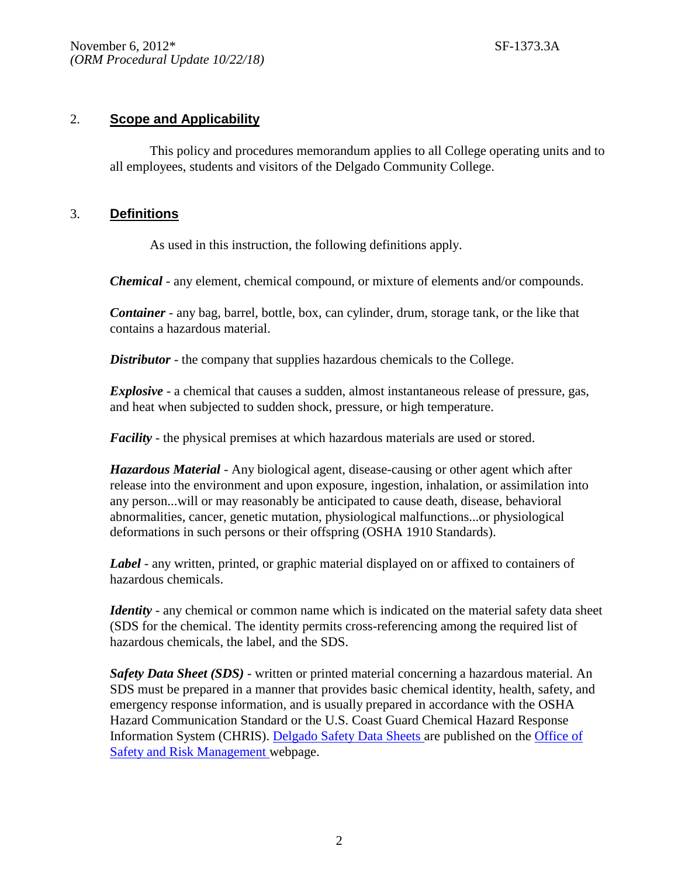### 2. **Scope and Applicability**

This policy and procedures memorandum applies to all College operating units and to all employees, students and visitors of the Delgado Community College.

#### 3. **Definitions**

As used in this instruction, the following definitions apply.

*Chemical* - any element, chemical compound, or mixture of elements and/or compounds.

*Container* - any bag, barrel, bottle, box, can cylinder, drum, storage tank, or the like that contains a hazardous material.

*Distributor* - the company that supplies hazardous chemicals to the College.

*Explosive* - a chemical that causes a sudden, almost instantaneous release of pressure, gas, and heat when subjected to sudden shock, pressure, or high temperature.

*Facility* - the physical premises at which hazardous materials are used or stored.

*Hazardous Material* - Any biological agent, disease-causing or other agent which after release into the environment and upon exposure, ingestion, inhalation, or assimilation into any person...will or may reasonably be anticipated to cause death, disease, behavioral abnormalities, cancer, genetic mutation, physiological malfunctions...or physiological deformations in such persons or their offspring (OSHA 1910 Standards).

*Label* - any written, printed, or graphic material displayed on or affixed to containers of hazardous chemicals.

*Identity* - any chemical or common name which is indicated on the material safety data sheet (SDS for the chemical. The identity permits cross-referencing among the required list of hazardous chemicals, the label, and the SDS.

*Safety Data Sheet (SDS)* - written or printed material concerning a hazardous material. An SDS must be prepared in a manner that provides basic chemical identity, health, safety, and emergency response information, and is usually prepared in accordance with the OSHA Hazard Communication Standard or the U.S. Coast Guard Chemical Hazard Response Information System (CHRIS). [Delgado Safety Data Sheets a](https://msdsmanagement.msdsonline.com/4f356301-a9a6-4c8a-8224-d50f4ff4f394/ebinder/?nas=True)re published on the [Office of](http://www.dcc.edu/administration/offices/facilities/safety-risk-management/default.aspx)  [Safety and Risk Management w](http://www.dcc.edu/administration/offices/facilities/safety-risk-management/default.aspx)ebpage.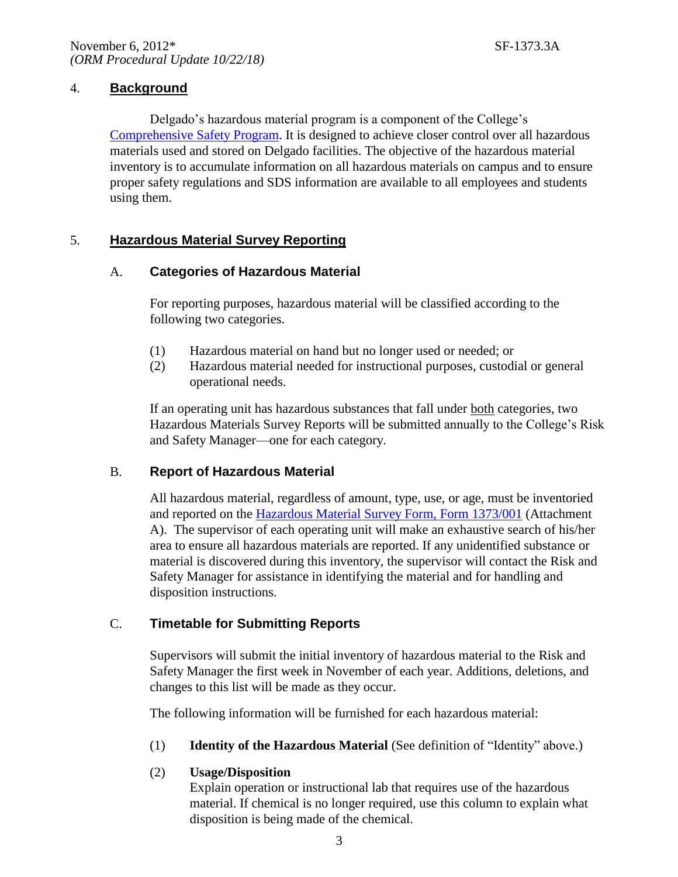## 4. **Background**

Delgado's hazardous material program is a component of the College's [Comprehensive Safety Program.](http://docushare3.dcc.edu/docushare/dsweb/Get/Document-3529/1370-2.pdf) It is designed to achieve closer control over all hazardous materials used and stored on Delgado facilities. The objective of the hazardous material inventory is to accumulate information on all hazardous materials on campus and to ensure proper safety regulations and SDS information are available to all employees and students using them.

## 5. **Hazardous Material Survey Reporting**

## A. **Categories of Hazardous Material**

For reporting purposes, hazardous material will be classified according to the following two categories.

- (1) Hazardous material on hand but no longer used or needed; or
- (2) Hazardous material needed for instructional purposes, custodial or general operational needs.

If an operating unit has hazardous substances that fall under both categories, two Hazardous Materials Survey Reports will be submitted annually to the College's Risk and Safety Manager—one for each category.

## B. **Report of Hazardous Material**

All hazardous material, regardless of amount, type, use, or age, must be inventoried and reported on the [Hazardous Material Survey Form, Form 1373/001](http://docushare3.dcc.edu/docushare/dsweb/Get/Document-4859) (Attachment A). The supervisor of each operating unit will make an exhaustive search of his/her area to ensure all hazardous materials are reported. If any unidentified substance or material is discovered during this inventory, the supervisor will contact the Risk and Safety Manager for assistance in identifying the material and for handling and disposition instructions.

## C. **Timetable for Submitting Reports**

Supervisors will submit the initial inventory of hazardous material to the Risk and Safety Manager the first week in November of each year. Additions, deletions, and changes to this list will be made as they occur.

The following information will be furnished for each hazardous material:

(1) **Identity of the Hazardous Material** (See definition of "Identity" above.)

## (2) **Usage/Disposition**

Explain operation or instructional lab that requires use of the hazardous material. If chemical is no longer required, use this column to explain what disposition is being made of the chemical.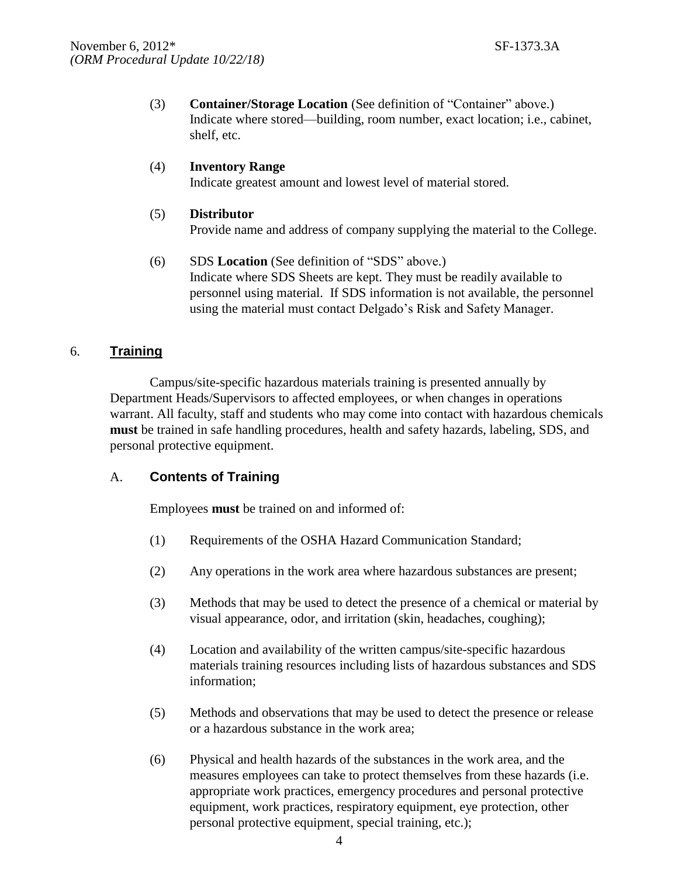(3) **Container/Storage Location** (See definition of "Container" above.) Indicate where stored—building, room number, exact location; i.e., cabinet, shelf, etc.

#### (4) **Inventory Range** Indicate greatest amount and lowest level of material stored.

# (5) **Distributor** Provide name and address of company supplying the material to the College.

(6) SDS **Location** (See definition of "SDS" above.) Indicate where SDS Sheets are kept. They must be readily available to personnel using material. If SDS information is not available, the personnel using the material must contact Delgado's Risk and Safety Manager.

# 6. **Training**

Campus/site-specific hazardous materials training is presented annually by Department Heads/Supervisors to affected employees, or when changes in operations warrant. All faculty, staff and students who may come into contact with hazardous chemicals **must** be trained in safe handling procedures, health and safety hazards, labeling, SDS, and personal protective equipment.

## A. **Contents of Training**

Employees **must** be trained on and informed of:

- (1) Requirements of the OSHA Hazard Communication Standard;
- (2) Any operations in the work area where hazardous substances are present;
- (3) Methods that may be used to detect the presence of a chemical or material by visual appearance, odor, and irritation (skin, headaches, coughing);
- (4) Location and availability of the written campus/site-specific hazardous materials training resources including lists of hazardous substances and SDS information;
- (5) Methods and observations that may be used to detect the presence or release or a hazardous substance in the work area;
- (6) Physical and health hazards of the substances in the work area, and the measures employees can take to protect themselves from these hazards (i.e. appropriate work practices, emergency procedures and personal protective equipment, work practices, respiratory equipment, eye protection, other personal protective equipment, special training, etc.);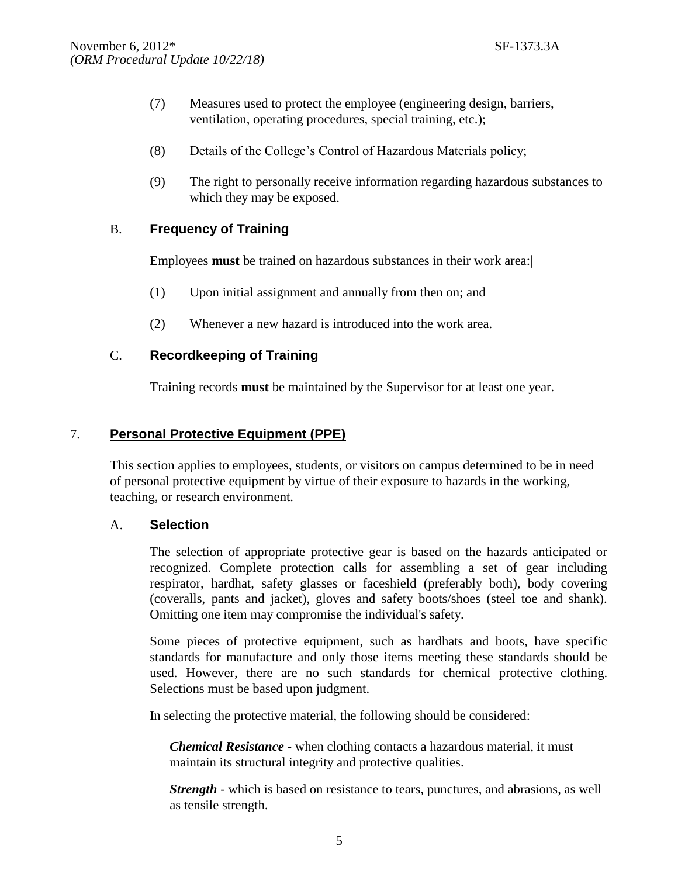- (7) Measures used to protect the employee (engineering design, barriers, ventilation, operating procedures, special training, etc.);
- (8) Details of the College's Control of Hazardous Materials policy;
- (9) The right to personally receive information regarding hazardous substances to which they may be exposed.

# B. **Frequency of Training**

Employees **must** be trained on hazardous substances in their work area:|

- (1) Upon initial assignment and annually from then on; and
- (2) Whenever a new hazard is introduced into the work area.

# C. **Recordkeeping of Training**

Training records **must** be maintained by the Supervisor for at least one year.

## 7. **Personal Protective Equipment (PPE)**

This section applies to employees, students, or visitors on campus determined to be in need of personal protective equipment by virtue of their exposure to hazards in the working, teaching, or research environment.

## A. **Selection**

The selection of appropriate protective gear is based on the hazards anticipated or recognized. Complete protection calls for assembling a set of gear including respirator, hardhat, safety glasses or faceshield (preferably both), body covering (coveralls, pants and jacket), gloves and safety boots/shoes (steel toe and shank). Omitting one item may compromise the individual's safety.

Some pieces of protective equipment, such as hardhats and boots, have specific standards for manufacture and only those items meeting these standards should be used. However, there are no such standards for chemical protective clothing. Selections must be based upon judgment.

In selecting the protective material, the following should be considered:

*Chemical Resistance -* when clothing contacts a hazardous material, it must maintain its structural integrity and protective qualities.

*Strength -* which is based on resistance to tears, punctures, and abrasions, as well as tensile strength.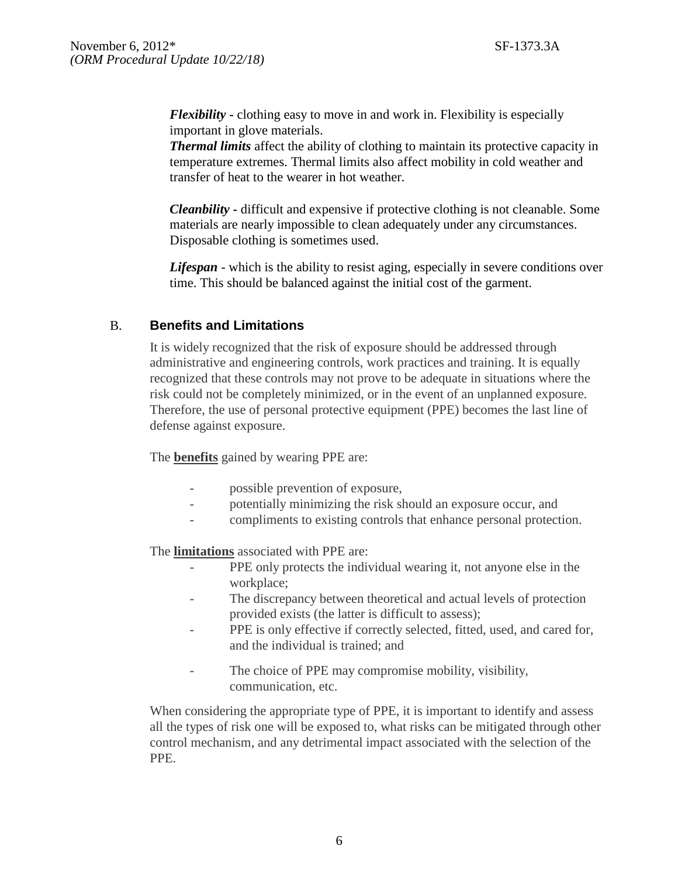*Flexibility* **-** clothing easy to move in and work in. Flexibility is especially important in glove materials.

*Thermal limits* affect the ability of clothing to maintain its protective capacity in temperature extremes. Thermal limits also affect mobility in cold weather and transfer of heat to the wearer in hot weather.

*Cleanbility* **-** difficult and expensive if protective clothing is not cleanable. Some materials are nearly impossible to clean adequately under any circumstances. Disposable clothing is sometimes used.

*Lifespan* - which is the ability to resist aging, especially in severe conditions over time. This should be balanced against the initial cost of the garment.

## B. **Benefits and Limitations**

It is widely recognized that the risk of exposure should be addressed through administrative and engineering controls, work practices and training. It is equally recognized that these controls may not prove to be adequate in situations where the risk could not be completely minimized, or in the event of an unplanned exposure. Therefore, the use of personal protective equipment (PPE) becomes the last line of defense against exposure.

The **benefits** gained by wearing PPE are:

- possible prevention of exposure,
- potentially minimizing the risk should an exposure occur, and
- compliments to existing controls that enhance personal protection.

The **limitations** associated with PPE are:

- PPE only protects the individual wearing it, not anyone else in the workplace;
- The discrepancy between theoretical and actual levels of protection provided exists (the latter is difficult to assess);
- PPE is only effective if correctly selected, fitted, used, and cared for, and the individual is trained; and
- The choice of PPE may compromise mobility, visibility, communication, etc.

When considering the appropriate type of PPE, it is important to identify and assess all the types of risk one will be exposed to, what risks can be mitigated through other control mechanism, and any detrimental impact associated with the selection of the PPE.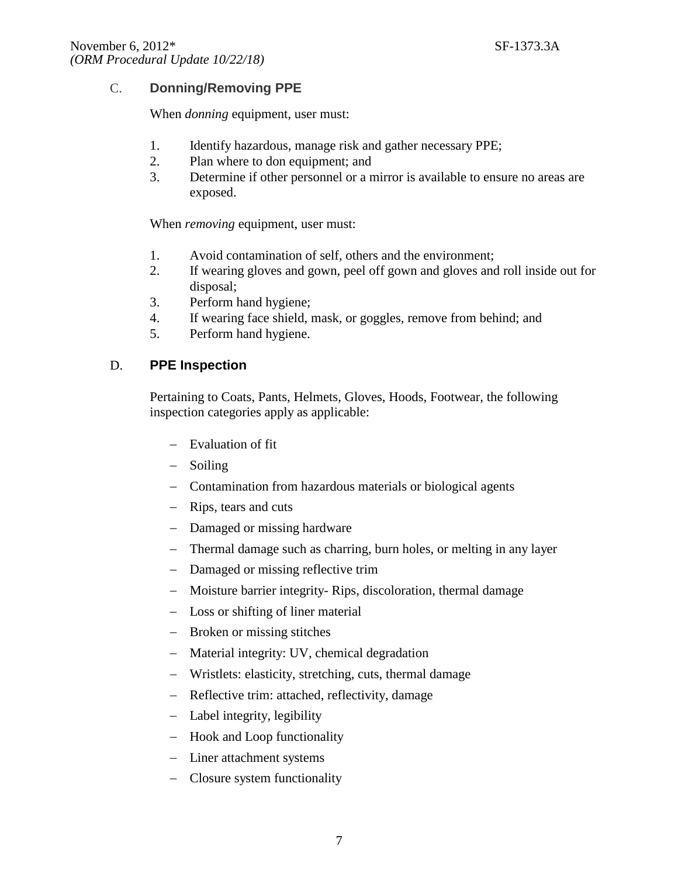## C. **Donning/Removing PPE**

When *donning* equipment, user must:

- 1. Identify hazardous, manage risk and gather necessary PPE;
- 2. Plan where to don equipment; and
- 3. Determine if other personnel or a mirror is available to ensure no areas are exposed.

When *removing* equipment, user must:

- 1. Avoid contamination of self, others and the environment;
- 2. If wearing gloves and gown, peel off gown and gloves and roll inside out for disposal;
- 3. Perform hand hygiene;
- 4. If wearing face shield, mask, or goggles, remove from behind; and
- 5. Perform hand hygiene.

## D. **PPE Inspection**

Pertaining to Coats, Pants, Helmets, Gloves, Hoods, Footwear, the following inspection categories apply as applicable:

- Evaluation of fit
- Soiling
- Contamination from hazardous materials or biological agents
- Rips, tears and cuts
- Damaged or missing hardware
- Thermal damage such as charring, burn holes, or melting in any layer
- Damaged or missing reflective trim
- Moisture barrier integrity- Rips, discoloration, thermal damage
- Loss or shifting of liner material
- Broken or missing stitches
- Material integrity: UV, chemical degradation
- Wristlets: elasticity, stretching, cuts, thermal damage
- Reflective trim: attached, reflectivity, damage
- Label integrity, legibility
- Hook and Loop functionality
- Liner attachment systems
- Closure system functionality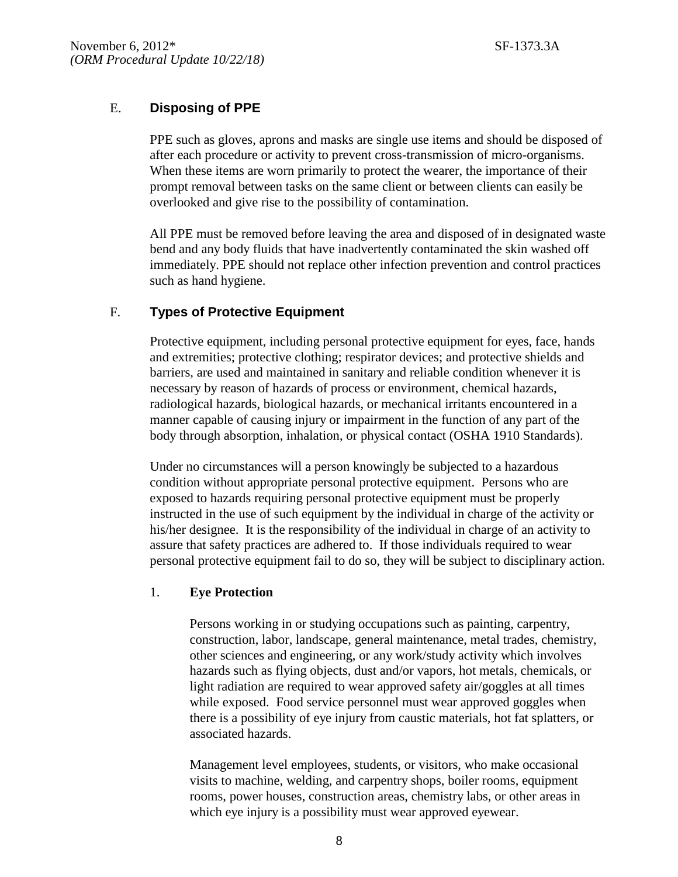# E. **Disposing of PPE**

PPE such as gloves, aprons and masks are single use items and should be disposed of after each procedure or activity to prevent cross-transmission of micro-organisms. When these items are worn primarily to protect the wearer, the importance of their prompt removal between tasks on the same client or between clients can easily be overlooked and give rise to the possibility of contamination.

All PPE must be removed before leaving the area and disposed of in designated waste bend and any body fluids that have inadvertently contaminated the skin washed off immediately. PPE should not replace other infection prevention and control practices such as hand hygiene.

## F. **Types of Protective Equipment**

Protective equipment, including personal protective equipment for eyes, face, hands and extremities; protective clothing; respirator devices; and protective shields and barriers, are used and maintained in sanitary and reliable condition whenever it is necessary by reason of hazards of process or environment, chemical hazards, radiological hazards, biological hazards, or mechanical irritants encountered in a manner capable of causing injury or impairment in the function of any part of the body through absorption, inhalation, or physical contact (OSHA 1910 Standards).

Under no circumstances will a person knowingly be subjected to a hazardous condition without appropriate personal protective equipment. Persons who are exposed to hazards requiring personal protective equipment must be properly instructed in the use of such equipment by the individual in charge of the activity or his/her designee. It is the responsibility of the individual in charge of an activity to assure that safety practices are adhered to. If those individuals required to wear personal protective equipment fail to do so, they will be subject to disciplinary action.

#### 1. **Eye Protection**

Persons working in or studying occupations such as painting, carpentry, construction, labor, landscape, general maintenance, metal trades, chemistry, other sciences and engineering, or any work/study activity which involves hazards such as flying objects, dust and/or vapors, hot metals, chemicals, or light radiation are required to wear approved safety air/goggles at all times while exposed. Food service personnel must wear approved goggles when there is a possibility of eye injury from caustic materials, hot fat splatters, or associated hazards.

Management level employees, students, or visitors, who make occasional visits to machine, welding, and carpentry shops, boiler rooms, equipment rooms, power houses, construction areas, chemistry labs, or other areas in which eye injury is a possibility must wear approved eyewear.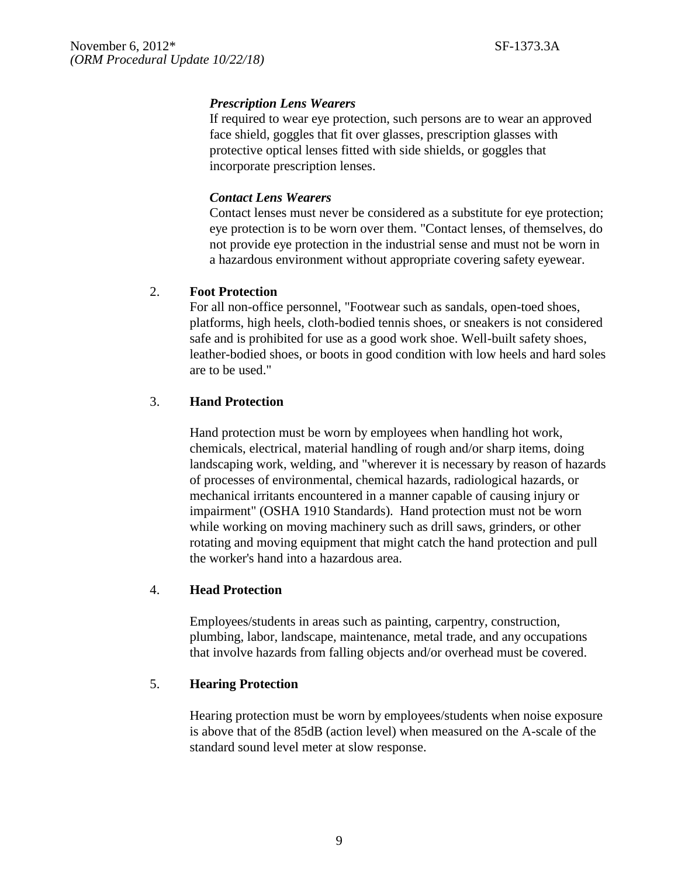## *Prescription Lens Wearers*

If required to wear eye protection, such persons are to wear an approved face shield, goggles that fit over glasses, prescription glasses with protective optical lenses fitted with side shields, or goggles that incorporate prescription lenses.

## *Contact Lens Wearers*

Contact lenses must never be considered as a substitute for eye protection; eye protection is to be worn over them. "Contact lenses, of themselves, do not provide eye protection in the industrial sense and must not be worn in a hazardous environment without appropriate covering safety eyewear.

## 2. **Foot Protection**

For all non-office personnel, "Footwear such as sandals, open-toed shoes, platforms, high heels, cloth-bodied tennis shoes, or sneakers is not considered safe and is prohibited for use as a good work shoe. Well-built safety shoes, leather-bodied shoes, or boots in good condition with low heels and hard soles are to be used."

## 3. **Hand Protection**

Hand protection must be worn by employees when handling hot work, chemicals, electrical, material handling of rough and/or sharp items, doing landscaping work, welding, and "wherever it is necessary by reason of hazards of processes of environmental, chemical hazards, radiological hazards, or mechanical irritants encountered in a manner capable of causing injury or impairment" (OSHA 1910 Standards). Hand protection must not be worn while working on moving machinery such as drill saws, grinders, or other rotating and moving equipment that might catch the hand protection and pull the worker's hand into a hazardous area.

## 4. **Head Protection**

Employees/students in areas such as painting, carpentry, construction, plumbing, labor, landscape, maintenance, metal trade, and any occupations that involve hazards from falling objects and/or overhead must be covered.

## 5. **Hearing Protection**

Hearing protection must be worn by employees/students when noise exposure is above that of the 85dB (action level) when measured on the A-scale of the standard sound level meter at slow response.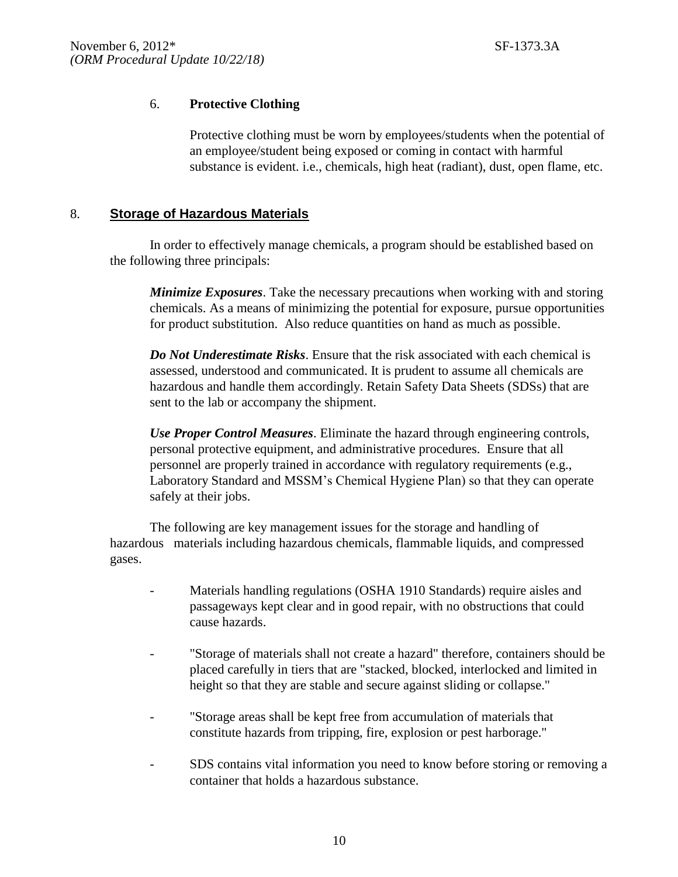### 6. **Protective Clothing**

Protective clothing must be worn by employees/students when the potential of an employee/student being exposed or coming in contact with harmful substance is evident. i.e., chemicals, high heat (radiant), dust, open flame, etc.

#### 8. **Storage of Hazardous Materials**

In order to effectively manage chemicals, a program should be established based on the following three principals:

*Minimize Exposures*. Take the necessary precautions when working with and storing chemicals. As a means of minimizing the potential for exposure, pursue opportunities for product substitution. Also reduce quantities on hand as much as possible.

*Do Not Underestimate Risks*. Ensure that the risk associated with each chemical is assessed, understood and communicated. It is prudent to assume all chemicals are hazardous and handle them accordingly. Retain Safety Data Sheets (SDSs) that are sent to the lab or accompany the shipment.

*Use Proper Control Measures*. Eliminate the hazard through engineering controls, personal protective equipment, and administrative procedures. Ensure that all personnel are properly trained in accordance with regulatory requirements (e.g., Laboratory Standard and MSSM's Chemical Hygiene Plan) so that they can operate safely at their jobs.

The following are key management issues for the storage and handling of hazardous materials including hazardous chemicals, flammable liquids, and compressed gases.

- Materials handling regulations (OSHA 1910 Standards) require aisles and passageways kept clear and in good repair, with no obstructions that could cause hazards.
- "Storage of materials shall not create a hazard" therefore, containers should be placed carefully in tiers that are "stacked, blocked, interlocked and limited in height so that they are stable and secure against sliding or collapse."
- "Storage areas shall be kept free from accumulation of materials that constitute hazards from tripping, fire, explosion or pest harborage."
- SDS contains vital information you need to know before storing or removing a container that holds a hazardous substance.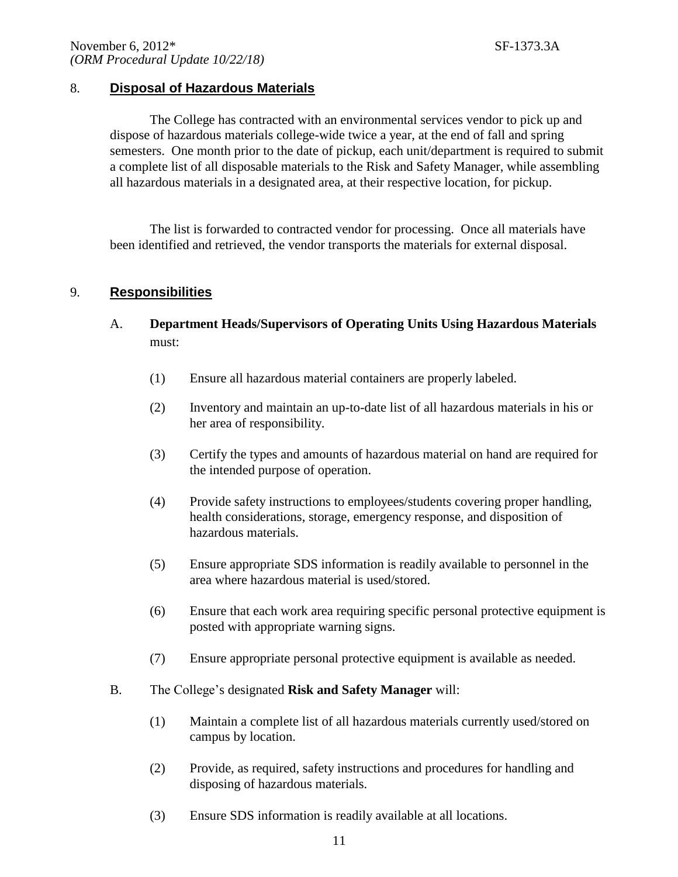## 8. **Disposal of Hazardous Materials**

The College has contracted with an environmental services vendor to pick up and dispose of hazardous materials college-wide twice a year, at the end of fall and spring semesters. One month prior to the date of pickup, each unit/department is required to submit a complete list of all disposable materials to the Risk and Safety Manager, while assembling all hazardous materials in a designated area, at their respective location, for pickup.

The list is forwarded to contracted vendor for processing. Once all materials have been identified and retrieved, the vendor transports the materials for external disposal.

## 9. **Responsibilities**

- A. **Department Heads/Supervisors of Operating Units Using Hazardous Materials** must:
	- (1) Ensure all hazardous material containers are properly labeled.
	- (2) Inventory and maintain an up-to-date list of all hazardous materials in his or her area of responsibility.
	- (3) Certify the types and amounts of hazardous material on hand are required for the intended purpose of operation.
	- (4) Provide safety instructions to employees/students covering proper handling, health considerations, storage, emergency response, and disposition of hazardous materials.
	- (5) Ensure appropriate SDS information is readily available to personnel in the area where hazardous material is used/stored.
	- (6) Ensure that each work area requiring specific personal protective equipment is posted with appropriate warning signs.
	- (7) Ensure appropriate personal protective equipment is available as needed.
- B. The College's designated **Risk and Safety Manager** will:
	- (1) Maintain a complete list of all hazardous materials currently used/stored on campus by location.
	- (2) Provide, as required, safety instructions and procedures for handling and disposing of hazardous materials.
	- (3) Ensure SDS information is readily available at all locations.